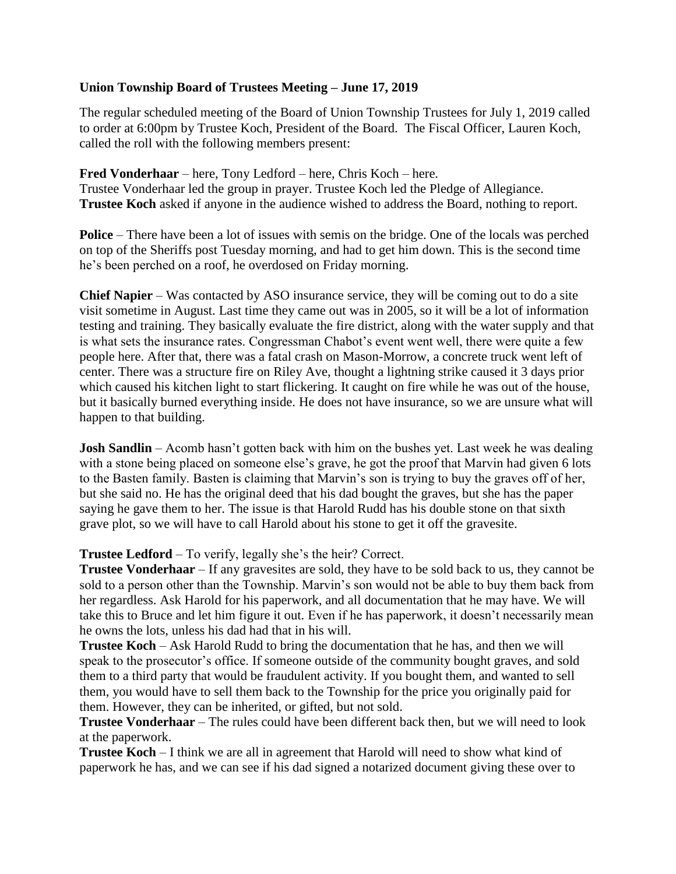## **Union Township Board of Trustees Meeting – June 17, 2019**

The regular scheduled meeting of the Board of Union Township Trustees for July 1, 2019 called to order at 6:00pm by Trustee Koch, President of the Board. The Fiscal Officer, Lauren Koch, called the roll with the following members present:

**Fred Vonderhaar** – here, Tony Ledford – here, Chris Koch – here. Trustee Vonderhaar led the group in prayer. Trustee Koch led the Pledge of Allegiance. **Trustee Koch** asked if anyone in the audience wished to address the Board, nothing to report.

**Police** – There have been a lot of issues with semis on the bridge. One of the locals was perched on top of the Sheriffs post Tuesday morning, and had to get him down. This is the second time he's been perched on a roof, he overdosed on Friday morning.

**Chief Napier** – Was contacted by ASO insurance service, they will be coming out to do a site visit sometime in August. Last time they came out was in 2005, so it will be a lot of information testing and training. They basically evaluate the fire district, along with the water supply and that is what sets the insurance rates. Congressman Chabot's event went well, there were quite a few people here. After that, there was a fatal crash on Mason-Morrow, a concrete truck went left of center. There was a structure fire on Riley Ave, thought a lightning strike caused it 3 days prior which caused his kitchen light to start flickering. It caught on fire while he was out of the house, but it basically burned everything inside. He does not have insurance, so we are unsure what will happen to that building.

**Josh Sandlin** – Acomb hasn't gotten back with him on the bushes yet. Last week he was dealing with a stone being placed on someone else's grave, he got the proof that Marvin had given 6 lots to the Basten family. Basten is claiming that Marvin's son is trying to buy the graves off of her, but she said no. He has the original deed that his dad bought the graves, but she has the paper saying he gave them to her. The issue is that Harold Rudd has his double stone on that sixth grave plot, so we will have to call Harold about his stone to get it off the gravesite.

**Trustee Ledford** – To verify, legally she's the heir? Correct.

**Trustee Vonderhaar** – If any gravesites are sold, they have to be sold back to us, they cannot be sold to a person other than the Township. Marvin's son would not be able to buy them back from her regardless. Ask Harold for his paperwork, and all documentation that he may have. We will take this to Bruce and let him figure it out. Even if he has paperwork, it doesn't necessarily mean he owns the lots, unless his dad had that in his will.

**Trustee Koch** – Ask Harold Rudd to bring the documentation that he has, and then we will speak to the prosecutor's office. If someone outside of the community bought graves, and sold them to a third party that would be fraudulent activity. If you bought them, and wanted to sell them, you would have to sell them back to the Township for the price you originally paid for them. However, they can be inherited, or gifted, but not sold.

**Trustee Vonderhaar** – The rules could have been different back then, but we will need to look at the paperwork.

**Trustee Koch** – I think we are all in agreement that Harold will need to show what kind of paperwork he has, and we can see if his dad signed a notarized document giving these over to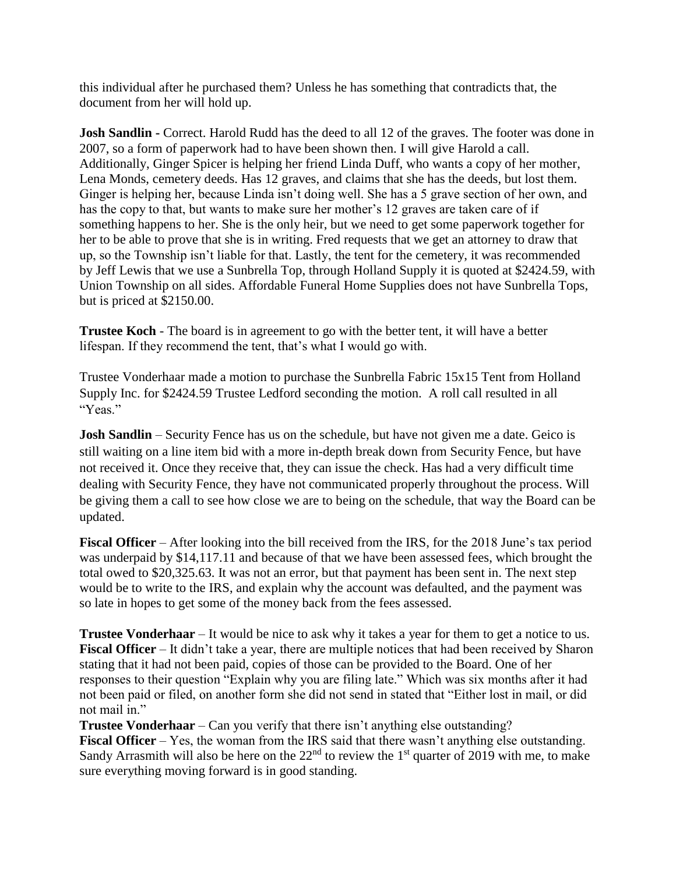this individual after he purchased them? Unless he has something that contradicts that, the document from her will hold up.

**Josh Sandlin -** Correct. Harold Rudd has the deed to all 12 of the graves. The footer was done in 2007, so a form of paperwork had to have been shown then. I will give Harold a call. Additionally, Ginger Spicer is helping her friend Linda Duff, who wants a copy of her mother, Lena Monds, cemetery deeds. Has 12 graves, and claims that she has the deeds, but lost them. Ginger is helping her, because Linda isn't doing well. She has a 5 grave section of her own, and has the copy to that, but wants to make sure her mother's 12 graves are taken care of if something happens to her. She is the only heir, but we need to get some paperwork together for her to be able to prove that she is in writing. Fred requests that we get an attorney to draw that up, so the Township isn't liable for that. Lastly, the tent for the cemetery, it was recommended by Jeff Lewis that we use a Sunbrella Top, through Holland Supply it is quoted at \$2424.59, with Union Township on all sides. Affordable Funeral Home Supplies does not have Sunbrella Tops, but is priced at \$2150.00.

**Trustee Koch** - The board is in agreement to go with the better tent, it will have a better lifespan. If they recommend the tent, that's what I would go with.

Trustee Vonderhaar made a motion to purchase the Sunbrella Fabric 15x15 Tent from Holland Supply Inc. for \$2424.59 Trustee Ledford seconding the motion. A roll call resulted in all "Yeas."

**Josh Sandlin** – Security Fence has us on the schedule, but have not given me a date. Geico is still waiting on a line item bid with a more in-depth break down from Security Fence, but have not received it. Once they receive that, they can issue the check. Has had a very difficult time dealing with Security Fence, they have not communicated properly throughout the process. Will be giving them a call to see how close we are to being on the schedule, that way the Board can be updated.

**Fiscal Officer** – After looking into the bill received from the IRS, for the 2018 June's tax period was underpaid by \$14,117.11 and because of that we have been assessed fees, which brought the total owed to \$20,325.63. It was not an error, but that payment has been sent in. The next step would be to write to the IRS, and explain why the account was defaulted, and the payment was so late in hopes to get some of the money back from the fees assessed.

**Trustee Vonderhaar** – It would be nice to ask why it takes a year for them to get a notice to us. **Fiscal Officer** – It didn't take a year, there are multiple notices that had been received by Sharon stating that it had not been paid, copies of those can be provided to the Board. One of her responses to their question "Explain why you are filing late." Which was six months after it had not been paid or filed, on another form she did not send in stated that "Either lost in mail, or did not mail in."

**Trustee Vonderhaar** – Can you verify that there isn't anything else outstanding? **Fiscal Officer** – Yes, the woman from the IRS said that there wasn't anything else outstanding. Sandy Arrasmith will also be here on the  $22<sup>nd</sup>$  to review the 1<sup>st</sup> quarter of 2019 with me, to make sure everything moving forward is in good standing.